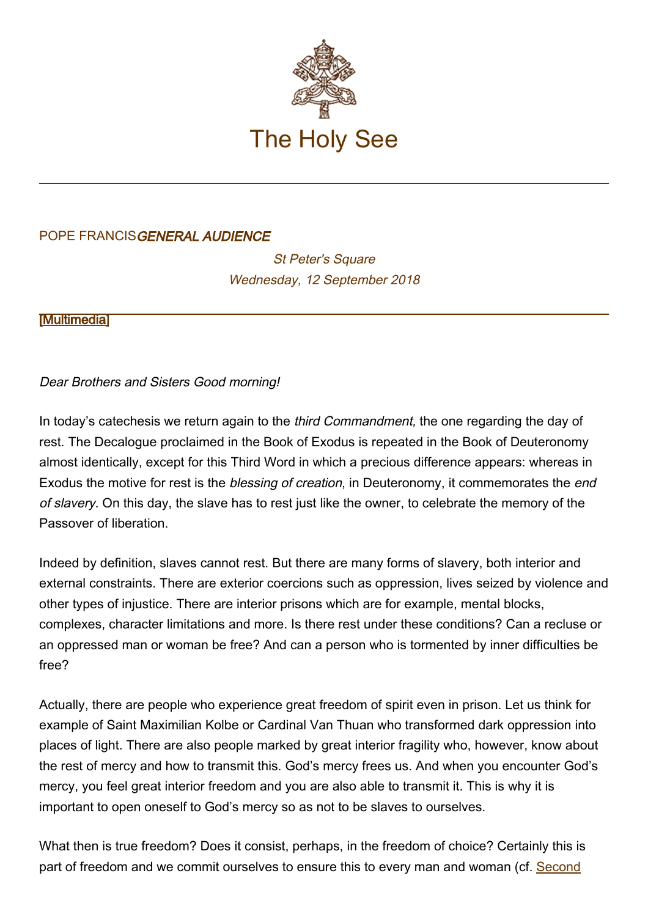

## POPE FRANCISGENERAL AUDIENCE

**St Peter's Square** Wednesday, 12 September 2018

[\[Multimedia](http://w2.vatican.va/content/francesco/en/events/event.dir.html/content/vaticanevents/en/2018/9/12/udienzagenerale.html)]

Dear Brothers and Sisters Good morning!

In today's catechesis we return again to the *third Commandment*, the one regarding the day of rest. The Decalogue proclaimed in the Book of Exodus is repeated in the Book of Deuteronomy almost identically, except for this Third Word in which a precious difference appears: whereas in Exodus the motive for rest is the blessing of creation, in Deuteronomy, it commemorates the end of slavery. On this day, the slave has to rest just like the owner, to celebrate the memory of the Passover of liberation.

Indeed by definition, slaves cannot rest. But there are many forms of slavery, both interior and external constraints. There are exterior coercions such as oppression, lives seized by violence and other types of injustice. There are interior prisons which are for example, mental blocks, complexes, character limitations and more. Is there rest under these conditions? Can a recluse or an oppressed man or woman be free? And can a person who is tormented by inner difficulties be free?

Actually, there are people who experience great freedom of spirit even in prison. Let us think for example of Saint Maximilian Kolbe or Cardinal Van Thuan who transformed dark oppression into places of light. There are also people marked by great interior fragility who, however, know about the rest of mercy and how to transmit this. God's mercy frees us. And when you encounter God's mercy, you feel great interior freedom and you are also able to transmit it. This is why it is important to open oneself to God's mercy so as not to be slaves to ourselves.

What then is true freedom? Does it consist, perhaps, in the freedom of choice? Certainly this is part of freedom and we commit ourselves to ensure this to every man and woman (cf. [Second](http://www.vatican.va/archive/hist_councils/ii_vatican_council/index.htm)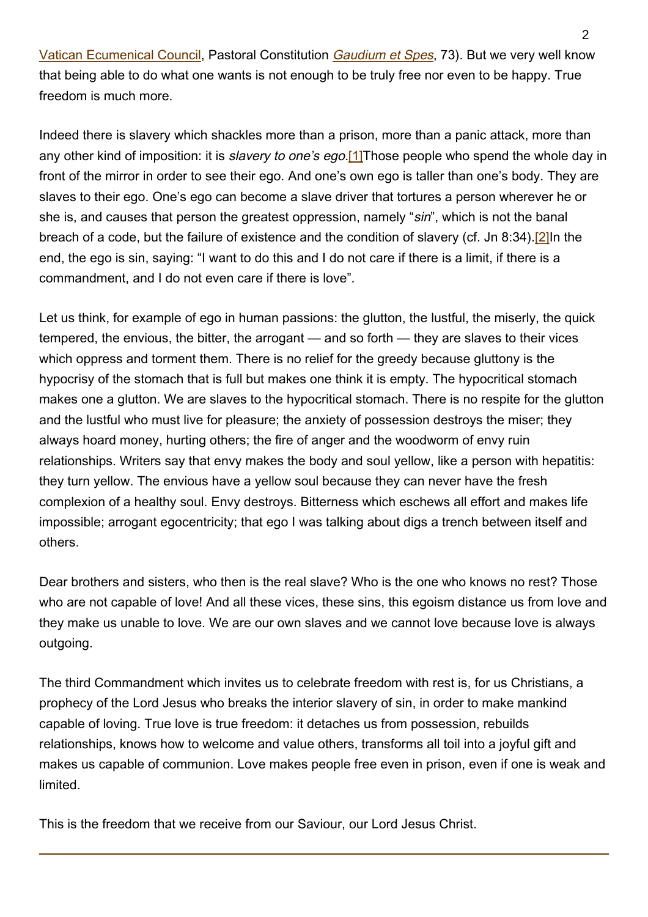[Vatican Ecumenical Council,](http://www.vatican.va/archive/hist_councils/ii_vatican_council/index.htm) Pastoral Constitution [Gaudium et Spes](http://www.vatican.va/archive/hist_councils/ii_vatican_council/documents/vat-ii_const_19651207_gaudium-et-spes_en.html), 73). But we very well know that being able to do what one wants is not enough to be truly free nor even to be happy. True freedom is much more.

Indeed there is slavery which shackles more than a prison, more than a panic attack, more than any other kind of imposition: it is *slavery to one's ego*.[1] Those people who spend the whole day in front of the mirror in order to see their ego. And one's own ego is taller than one's body. They are slaves to their ego. One's ego can become a slave driver that tortures a person wherever he or she is, and causes that person the greatest oppression, namely "sin", which is not the banal breach of a code, but the failure of existence and the condition of slavery (cf. Jn 8:34).[2]In the end, the ego is sin, saying: "I want to do this and I do not care if there is a limit, if there is a commandment, and I do not even care if there is love".

Let us think, for example of ego in human passions: the glutton, the lustful, the miserly, the quick tempered, the envious, the bitter, the arrogant — and so forth — they are slaves to their vices which oppress and torment them. There is no relief for the greedy because gluttony is the hypocrisy of the stomach that is full but makes one think it is empty. The hypocritical stomach makes one a glutton. We are slaves to the hypocritical stomach. There is no respite for the glutton and the lustful who must live for pleasure; the anxiety of possession destroys the miser; they always hoard money, hurting others; the fire of anger and the woodworm of envy ruin relationships. Writers say that envy makes the body and soul yellow, like a person with hepatitis: they turn yellow. The envious have a yellow soul because they can never have the fresh complexion of a healthy soul. Envy destroys. Bitterness which eschews all effort and makes life impossible; arrogant egocentricity; that ego I was talking about digs a trench between itself and others.

Dear brothers and sisters, who then is the real slave? Who is the one who knows no rest? Those who are not capable of love! And all these vices, these sins, this egoism distance us from love and they make us unable to love. We are our own slaves and we cannot love because love is always outgoing.

The third Commandment which invites us to celebrate freedom with rest is, for us Christians, a prophecy of the Lord Jesus who breaks the interior slavery of sin, in order to make mankind capable of loving. True love is true freedom: it detaches us from possession, rebuilds relationships, knows how to welcome and value others, transforms all toil into a joyful gift and makes us capable of communion. Love makes people free even in prison, even if one is weak and limited.

This is the freedom that we receive from our Saviour, our Lord Jesus Christ.